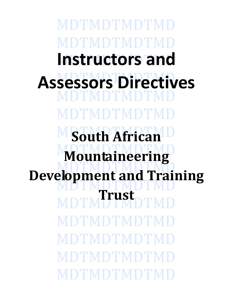MDTMDTMDTMF )'I'MD'I'MD'I' **Instructors and Assessors Directives** TMDTMD **South African Mountaineering Development and Training Trust**DTMDTMDTMD DTMDTMDT MDTMDTMDTM MDTMDTMDTI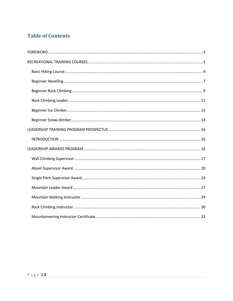# **Table of Contents**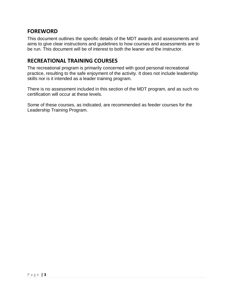# <span id="page-2-0"></span>**FOREWORD**

This document outlines the specific details of the MDT awards and assessments and aims to give clear instructions and guidelines to how courses and assessments are to be run. This document will be of interest to both the leaner and the instructor.

# <span id="page-2-1"></span>**RECREATIONAL TRAINING COURSES**

The recreational program is primarily concerned with good personal recreational practice, resulting to the safe enjoyment of the activity. It does not include leadership skills nor is it intended as a leader training program.

There is no assessment included in this section of the MDT program, and as such no certification will occur at these levels.

Some of these courses, as indicated, are recommended as feeder courses for the Leadership Training Program.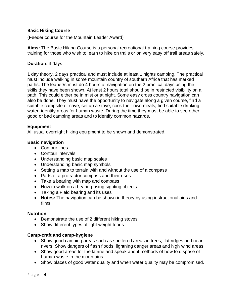# <span id="page-3-0"></span>**Basic Hiking Course**

(Feeder course for the Mountain Leader Award)

**Aims:** The Basic Hiking Course is a personal recreational training course provides training for those who wish to learn to hike on trails or on very easy off trail areas safely.

### **Duration**: 3 days

1 day theory, 2 days practical and must include at least 1 nights camping. The practical must include walking in some mountain country of southern Africa that has marked paths. The leaner/s must do 4 hours of navigation on the 2 practical days using the skills they have been shown. At least 2 hours total should be in restricted visibility on a path. This could either be in mist or at night. Some easy cross country navigation can also be done. They must have the opportunity to navigate along a given course, find a suitable campsite or cave, set up a stove, cook their own meals, find suitable drinking water, identify areas for human waste. During the time they must be able to see other good or bad camping areas and to identify common hazards.

### **Equipment**

All usual overnight hiking equipment to be shown and demonstrated.

# **Basic navigation**

- Contour lines
- Contour intervals
- Understanding basic map scales
- Understanding basic map symbols
- Setting a map to terrain with and without the use of a compass
- Parts of a protractor compass and their uses
- Take a bearing with map and compass
- How to walk on a bearing using sighting objects
- Taking a Field bearing and its uses
- **Notes:** The navigation can be shown in theory by using instructional aids and films.

### **Nutrition**

- Demonstrate the use of 2 different hiking stoves
- Show different types of light weight foods

# **Camp-craft and camp-hygiene**

- Show good camping areas such as sheltered areas in trees, flat ridges and near rivers. Show dangers of flash floods, lightning danger areas and high wind areas.
- Show good areas for the latrine and speak about methods of how to dispose of human waste in the mountains.
- Show places of good water quality and when water quality may be compromised.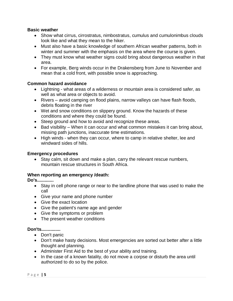### **Basic weather**

- Show what cirrus, cirrostratus, nimbostratus, cumulus and cumulonimbus clouds look like and what they mean to the hiker.
- Must also have a basic knowledge of southern African weather patterns, both in winter and summer with the emphasis on the area where the course is given.
- They must know what weather signs could bring about dangerous weather in that area.
- For example, Berg winds occur in the Drakensberg from June to November and mean that a cold front, with possible snow is approaching.

### **Common hazard avoidance**

- Lightning what areas of a wilderness or mountain area is considered safer, as well as what area or objects to avoid.
- Rivers avoid camping on flood plains, narrow valleys can have flash floods, debris floating in the river
- Wet and snow conditions on slippery ground. Know the hazards of these conditions and where they could be found.
- Steep ground and how to avoid and recognize these areas.
- Bad visibility When it can occur and what common mistakes it can bring about, missing path junctions, inaccurate time estimations.
- High winds when they can occur, where to camp in relative shelter, lee and windward sides of hills.

### **Emergency procedures**

 Stay calm, sit down and make a plan, carry the relevant rescue numbers, mountain rescue structures in South Africa.

### **When reporting an emergency /death:**

**Do's.............**

- Stay in cell phone range or near to the landline phone that was used to make the call
- Give your name and phone number
- Give the exact location
- Give the patient's name age and gender
- Give the symptoms or problem
- The present weather conditions

### **Don'ts...............**

- Don't panic
- Don't make hasty decisions. Most emergencies are sorted out better after a little thought and planning.
- Administer First Aid to the best of your ability and training.
- In the case of a known fatality, do not move a corpse or disturb the area until authorized to do so by the police.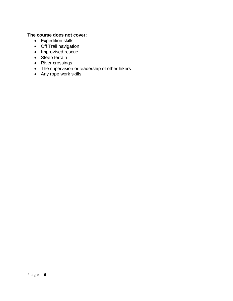# **The course does not cover:**

- Expedition skills
- Off Trail navigation
- Improvised rescue
- Steep terrain
- River crossings
- The supervision or leadership of other hikers
- Any rope work skills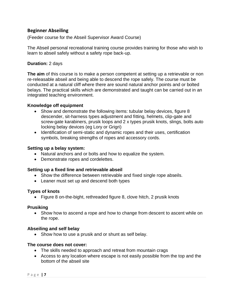# <span id="page-6-0"></span>**Beginner Abseiling**

(Feeder course for the Abseil Supervisor Award Course)

The Abseil personal recreational training course provides training for those who wish to learn to abseil safely without a safety rope back-up.

# **Duration:** 2 days

**The aim** of this course is to make a person competent at setting up a retrievable or non re-releasable abseil and being able to descend the rope safely. The course must be conducted at a natural cliff where there are sound natural anchor points and or bolted belays. The practical skills which are demonstrated and taught can be carried out in an integrated teaching environment.

### **Knowledge off equipment**

- Show and demonstrate the following items: tubular belay devices, figure 8 descender, sit-harness types adjustment and fitting, helmets, clip-gate and screw-gate karabiners, prusik loops and 2 x types prusik knots, slings, bolts auto locking belay devices (eg Lory or Grigri)
- Identification of semi-static and dynamic ropes and their uses, certification symbols, breaking strengths of ropes and accessory cords.

### **Setting up a belay system:**

- Natural anchors and or bolts and how to equalize the system.
- Demonstrate ropes and cordelettes.

### **Setting up a fixed line and retrievable abseil**

- Show the difference between retrievable and fixed single rope abseils.
- Leaner must set up and descend both types

### **Types of knots**

• Figure 8 on-the-bight, rethreaded figure 8, clove hitch, 2 prusik knots

### **Prusiking**

• Show how to ascend a rope and how to change from descent to ascent while on the rope.

# **Abseiling and self belay**

• Show how to use a prusik and or shunt as self belay.

### **The course does not cover:**

- The skills needed to approach and retreat from mountain crags
- Access to any location where escape is not easily possible from the top and the bottom of the abseil site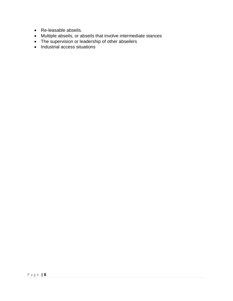- Re-leasable abseils.
- Multiple abseils, or abseils that involve intermediate stances
- The supervision or leadership of other abseilers
- Industrial access situations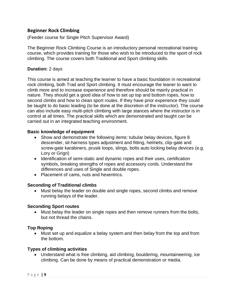# <span id="page-8-0"></span>**Beginner Rock Climbing**

(Feeder course for Single Pitch Supervisor Award)

The Beginner Rock Climbing Course is an introductory personal recreational training course, which provides training for those who wish to be introduced to the sport of rock climbing. The course covers both Traditional and Sport climbing skills.

### **Duration:** 2 days

This course is aimed at teaching the learner to have a basic foundation in recreational rock climbing, both Trad and Sport climbing. It must encourage the leaner to want to climb more and to increase experience and therefore should be mainly practical in nature. They should get a good idea of how to set up top and bottom ropes, how to second climbs and how to clean sport routes. If they have prior experience they could be taught to do basic leading (to be done at the discretion of the instructor). The course can also include easy multi-pitch climbing with large stances where the instructor is in control at all times. The practical skills which are demonstrated and taught can be carried out in an integrated teaching environment.

### **Basic knowledge of equipment**

- Show and demonstrate the following items: tubular belay devices, figure 8 descender, sit-harness types adjustment and fitting, helmets, clip-gate and screw-gate karabiners, prusik loops, slings, bolts auto locking belay devices (e.g. Lory or Grigri)
- Identification of semi-static and dynamic ropes and their uses, certification symbols, breaking strengths of ropes and accessory cords. Understand the differences and uses of Single and double ropes.
- Placement of cams, nuts and hexentrics.

# **Seconding of Traditional climbs**

 Must belay the leader on double and single ropes, second climbs and remove running belays of the leader.

# **Seconding Sport routes**

 Must belay the leader on single ropes and then remove runners from the bolts, but not thread the chains.

# **Top Roping**

 Must set up and equalize a belay system and then belay from the top and from the bottom.

# **Types of climbing activities**

 Understand what is free climbing, aid climbing, bouldering, mountaineering, ice climbing. Can be done by means of practical demonstration or media.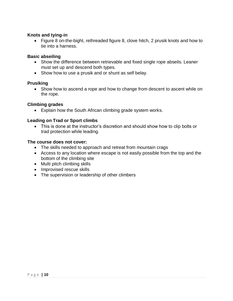### **Knots and tying-in**

 Figure 8 on-the-bight, rethreaded figure 8, clove hitch, 2 prusik knots and how to tie into a harness.

### **Basic abseiling**

- Show the difference between retrievable and fixed single rope abseils. Leaner must set up and descend both types.
- Show how to use a prusik and or shunt as self belay.

### **Prusiking**

• Show how to ascend a rope and how to change from descent to ascent while on the rope.

### **Climbing grades**

Explain how the South African climbing grade system works.

### **Leading on Trad or Sport climbs**

• This is done at the instructor's discretion and should show how to clip bolts or trad protection while leading.

### **The course does not cover:**

- The skills needed to approach and retreat from mountain crags
- Access to any location where escape is not easily possible from the top and the bottom of the climbing site
- Multi pitch climbing skills
- Improvised rescue skills
- The supervision or leadership of other climbers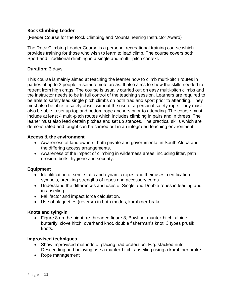# <span id="page-10-0"></span>**Rock Climbing Leader**

(Feeder Course for the Rock Climbing and Mountaineering Instructor Award)

The Rock Climbing Leader Course is a personal recreational training course which provides training for those who wish to learn to lead climb. The course covers both Sport and Traditional climbing in a single and multi -pitch context.

# **Duration:** 3 days

This course is mainly aimed at teaching the learner how to climb multi-pitch routes in parties of up to 3 people in semi remote areas. It also aims to show the skills needed to retreat from high crags. The course is usually carried out on easy multi-pitch climbs and the instructor needs to be in full control of the teaching session. Learners are required to be able to safely lead single pitch climbs on both trad and sport prior to attending. They must also be able to safely abseil without the use of a personal safety rope. They must also be able to set up top and bottom rope anchors prior to attending. The course must include at least 4 multi-pitch routes which includes climbing in pairs and in threes. The leaner must also lead certain pitches and set up stances. The practical skills which are demonstrated and taught can be carried out in an integrated teaching environment.

### **Access & the environment**

- Awareness of land owners, both private and governmental in South Africa and the differing access arrangements.
- Awareness of the impact of climbing in wilderness areas, including litter, path erosion, bolts, hygiene and security.

# **Equipment**

- Identification of semi-static and dynamic ropes and their uses, certification symbols, breaking strengths of ropes and accessory cords.
- Understand the differences and uses of Single and Double ropes in leading and in abseiling.
- Fall factor and impact force calculation.
- Use of plaquettes (reverso) in both modes, karabiner-brake.

# **Knots and tying-in**

 Figure 8 on-the-bight, re-threaded figure 8, Bowline, munter-hitch, alpine butterfly, clove hitch, overhand knot, double fisherman's knot, 3 types prusik knots.

### **Improvised techniques**

- Show improvised methods of placing trad protection. E.g. stacked nuts. Descending and belaying use a munter-hitch, abseiling using a karabiner brake.
- Rope management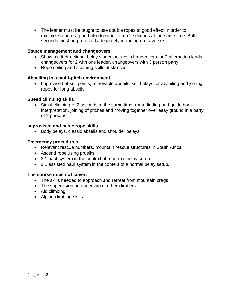The leaner must be taught to use double ropes to good effect in order to minimize rope-drag and also to simul-climb 2 seconds at the same time. Both seconds must be protected adequately including on traverses.

### **Stance management and changeovers**

- Show multi-directional belay stance set ups, changeovers for 2 alternation leads, changeovers for 2 with one leader, changeovers with 3 person party.
- Rope coiling and stashing skills at stances.

### **Abseiling in a multi-pitch environment**

• Improvised abseil points, retrievable abseils, self belays for abseiling and joining ropes for long abseils.

### **Speed climbing skills**

• Simul climbing of 2 seconds at the same time, route finding and guide book interpretation, joining of pitches and moving together over easy ground in a party of 2 persons.

### **Improvised and basic rope skills**

• Body belays, classic abseils and shoulder belays

### **Emergency procedures**

- Relevant rescue numbers, mountain rescue structures in South Africa.
- Ascend rope using prusiks
- 3:1 haul system in the context of a normal belay setup.
- 2:1 assisted haul system in the context of a normal belay setup.

### **The course does not cover:**

- The skills needed to approach and retreat from mountain crags
- The supervision or leadership of other climbers
- Aid climbing
- Alpine climbing skills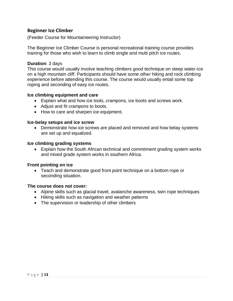### <span id="page-12-0"></span>**Beginner Ice Climber**

(Feeder Course for Mountaineering Instructor)

The Beginner Ice Climber Course is personal recreational training course provides training for those who wish to learn to climb single and multi pitch ice routes.

#### **Duration**: 3 days

This course would usually involve teaching climbers good technique on steep water-ice on a high mountain cliff. Participants should have some other hiking and rock climbing experience before attending this course. The course would usually entail some top roping and seconding of easy ice routes.

#### **Ice climbing equipment and care**

- Explain what and how ice tools, crampons, ice boots and screws work.
- Adjust and fit crampons to boots.
- How to care and sharpen ice equipment.

#### **Ice-belay setups and ice screw**

• Demonstrate how ice screws are placed and removed and how belay systems are set up and equalized.

#### **Ice climbing grading systems**

 Explain how the South African technical and commitment grading system works and mixed grade system works in southern Africa.

#### **Front pointing on ice**

 Teach and demonstrate good front point technique on a bottom rope or seconding situation.

#### **The course does not cover:**

- Alpine skills such as glacial travel, avalanche awareness, twin rope techniques
- Hiking skills such as navigation and weather patterns
- The supervision or leadership of other climbers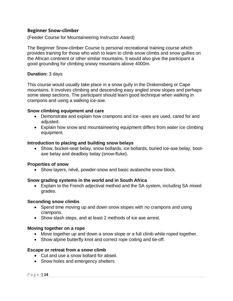### <span id="page-13-0"></span>**Beginner Snow-climber**

(Feeder Course for Mountaineering Instructor Award)

The Beginner Snow-climber Course is personal recreational training course which provides training for those who wish to learn to climb snow climbs and snow gullies on the African continent or other similar mountains. It would also give the participant a good grounding for climbing snowy mountains above 4000m.

#### **Duration:** 3 days

This course would usually take place in a snow gully in the Drakensberg or Cape mountains. It involves climbing and descending easy angled snow slopes and perhaps some steep sections. The participant should learn good technique when walking in crampons and using a walking ice-axe.

#### **Snow climbing equipment and care**

- Demonstrate and explain how crampons and ice -axes are used, cared for and adiusted.
- Explain how snow and mountaineering equipment differs from water ice climbing equipment.

#### **Introduction to placing and building snow belays**

 Show, bucket-seat belay, snow bollards, ice bollards, buried ice-axe belay, bootaxe belay and deadboy belay (snow-fluke).

#### **Properties of snow**

• Show layers, névé, powder-snow and basic avalanche snow block.

### **Snow grading systems in the world and in South Africa**

 Explain to the French adjectival method and the SA system, including SA mixed grades.

#### **Seconding snow climbs**

- Spend time moving up and down snow slopes with no crampons and using crampons.
- Show slash steps, and at least 2 methods of ice axe arrest.

#### **Moving together on a rope**

- Move together up and down a snow slope or a full climb while roped together.
- Show alpine butterfly knot and correct rope coiling and tie-off.

#### **Escape or retreat from a snow climb**

- Cut and use a snow bollard for abseil.
- Snow holes and emergency shelters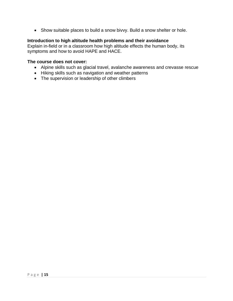Show suitable places to build a snow bivvy. Build a snow shelter or hole.

### **Introduction to high altitude health problems and their avoidance**

Explain in-field or in a classroom how high altitude effects the human body, its symptoms and how to avoid HAPE and HACE.

#### **The course does not cover:**

- Alpine skills such as glacial travel, avalanche awareness and crevasse rescue
- Hiking skills such as navigation and weather patterns
- The supervision or leadership of other climbers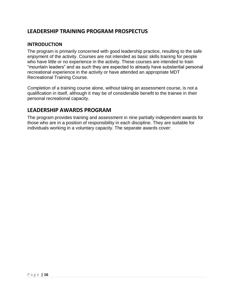# <span id="page-15-0"></span>**LEADERSHIP TRAINING PROGRAM PROSPECTUS**

# <span id="page-15-1"></span>**INTRODUCTION**

The program is primarily concerned with good leadership practice, resulting to the safe enjoyment of the activity. Courses are not intended as basic skills training for people who have little or no experience in the activity. These courses are intended to train "mountain leaders" and as such they are expected to already have substantial personal recreational experience in the activity or have attended an appropriate MDT Recreational Training Course.

Completion of a training course alone, without taking an assessment course, is not a qualification in itself, although it may be of considerable benefit to the trainee in their personal recreational capacity.

# <span id="page-15-2"></span>**LEADERSHIP AWARDS PROGRAM**

The program provides training and assessment in nine partially independent awards for those who are in a position of responsibility in each discipline. They are suitable for individuals working in a voluntary capacity. The separate awards cover: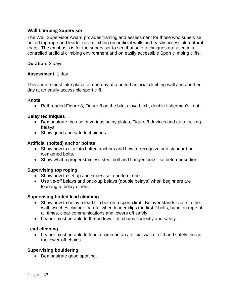# <span id="page-16-0"></span>**Wall Climbing Supervisor**

The Wall Supervisor Award provides training and assessment for those who supervise bolted top-rope and leader rock climbing on artificial walls and easily accessible natural crags. The emphasis is for the supervisor to see that safe techniques are used in a controlled artificial climbing environment and on easily accessible Sport climbing cliffs.

### **Duration:** 2 days

### **Assessment**: 1 day

This course must take place for one day at a bolted artificial climbing wall and another day at an easily accessible sport cliff.

### **Knots**

Rethreaded Figure 8, Figure 8 on the bite, clove hitch, double fisherman's knot.

### **Belay techniques**

- Demonstrate the use of various belay plates, Figure 8 devices and auto-locking belays.
- Show good and safe techniques.

### **Artificial (bolted) anchor points**

- Show how to clip into bolted anchors and how to recognize sub standard or weakened bolts.
- Show what a proper stainless steel bolt and hanger looks like before insertion.

# **Supervising top roping**

- Show how to set up and supervise a bottom rope.
- Use tie-off belays and back-up belays (double belays) when beginners are learning to belay others.

# **Supervising bolted lead climbing**

- Show how to belay a lead climber on a sport climb. Belayer stands close to the wall, watches climber, careful when leader clips the first 2 bolts, hand on rope at all times, clear communications and lowers off safely.
- Leaner must be able to thread lower-off chains correctly and safely.

# **Lead climbing**

• Leaner must be able to lead a climb on an artificial wall or cliff and safely thread the lower-off chains.

### **Supervising bouldering**

• Demonstrate good spotting.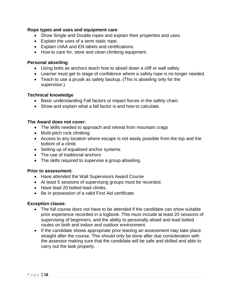### **Rope types and uses and equipment care**

- Show Single and Double ropes and explain their properties and uses.
- Explain the uses of a semi static rope.
- Explain UIAA and EN labels and certifications.
- How to care for, store and clean climbing equipment.

### **Personal abseiling**

- Using bolts as anchors teach how to abseil down a cliff or wall safely.
- Learner must get to stage of confidence where a safety rope is no longer needed.
- Teach to use a prusik as safety backup. (This is abseiling only for the supervisor.)

#### **Technical knowledge**

- Basic understanding Fall factors or impact forces in the safety chain.
- Show and explain what a fall factor is and how to calculate.

### **The Award does not cover:**

- The skills needed to approach and retreat from mountain crags
- Multi-pitch rock climbing
- Access to any location where escape is not easily possible from the top and the bottom of a climb
- Setting up of equalised anchor systems
- The use of traditional anchors
- The skills required to supervise a group abseiling.

### **Prior to assessment:**

- Have attended the Wall Supervisors Award Course
- At least 5 sessions of supervising groups must be recorded.
- Have lead 20 bolted lead climbs.
- Be in possession of a valid First Aid certificate.

### **Exception clause**:

- The full course does not have to be attended if the candidate can show suitable prior experience recorded in a logbook. This must include at least 20 sessions of supervising of beginners, and the ability to personally abseil and lead bolted routes on both and indoor and outdoor environment.
- If the candidate shows appropriate prior leaning an assessment may take place straight after the course. This should only be done after due consideration with the assessor making sure that the candidate will be safe and skilled and able to carry out the task properly.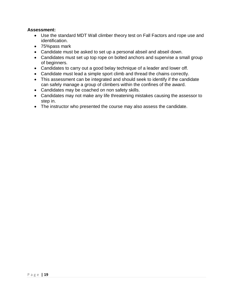### **Assessment:**

- Use the standard MDT Wall climber theory test on Fall Factors and rope use and identification.
- 75%pass mark
- Candidate must be asked to set up a personal abseil and abseil down.
- Candidates must set up top rope on bolted anchors and supervise a small group of beginners.
- Candidates to carry out a good belay technique of a leader and lower off.
- Candidate must lead a simple sport climb and thread the chains correctly.
- This assessment can be integrated and should seek to identify if the candidate can safely manage a group of climbers within the confines of the award.
- Candidates may be coached on non safety skills.
- Candidates may not make any life threatening mistakes causing the assessor to step in.
- The instructor who presented the course may also assess the candidate.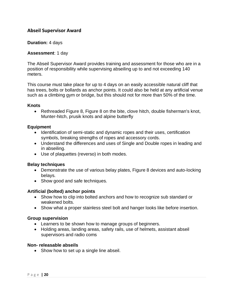# <span id="page-19-0"></span>**Abseil Supervisor Award**

### **Duration:** 4 days

### **Assessment**: 1 day

The Abseil Supervisor Award provides training and assessment for those who are in a position of responsibility while supervising abseiling up to and not exceeding 140 meters.

This course must take place for up to 4 days on an easily accessible natural cliff that has trees, bolts or bollards as anchor points. It could also be held at any artificial venue such as a climbing gym or bridge, but this should not for more than 50% of the time.

### **Knots**

• Rethreaded Figure 8, Figure 8 on the bite, clove hitch, double fisherman's knot, Munter-hitch, prusik knots and alpine butterfly

### **Equipment**

- Identification of semi-static and dynamic ropes and their uses, certification symbols, breaking strengths of ropes and accessory cords.
- Understand the differences and uses of Single and Double ropes in leading and in abseiling.
- Use of plaquettes (reverso) in both modes.

### **Belay techniques**

- Demonstrate the use of various belay plates, Figure 8 devices and auto-locking belays.
- Show good and safe techniques.

# **Artificial (bolted) anchor points**

- Show how to clip into bolted anchors and how to recognize sub standard or weakened bolts.
- Show what a proper stainless steel bolt and hanger looks like before insertion.

### **Group supervision**

- Learners to be shown how to manage groups of beginners.
- Holding areas, landing areas, safety rails, use of helmets, assistant abseil supervisors and radio coms

### **Non- releasable abseils**

• Show how to set up a single line abseil.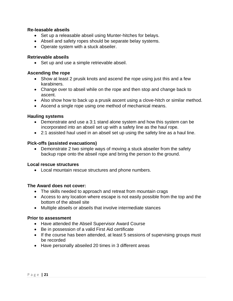### **Re-leasable abseils**

- Set up a releasable abseil using Munter-hitches for belays.
- Abseil and safety ropes should be separate belay systems.
- Operate system with a stuck abseiler.

### **Retrievable abseils**

• Set up and use a simple retrievable abseil.

### **Ascending the rope**

- Show at least 2 prusik knots and ascend the rope using just this and a few karabiners.
- Change over to abseil while on the rope and then stop and change back to ascent.
- Also show how to back up a prusik ascent using a clove-hitch or similar method.
- Ascend a single rope using one method of mechanical means.

### **Hauling systems**

- Demonstrate and use a 3:1 stand alone system and how this system can be incorporated into an abseil set up with a safety line as the haul rope.
- 2:1 assisted haul used in an abseil set up using the safety line as a haul line.

### **Pick-offs (assisted evacuations)**

 Demonstrate 2 two simple ways of moving a stuck abseiler from the safety backup rope onto the abseil rope and bring the person to the ground.

### **Local rescue structures**

Local mountain rescue structures and phone numbers.

### **The Award does not cover:**

- The skills needed to approach and retreat from mountain crags
- Access to any location where escape is not easily possible from the top and the bottom of the abseil site
- Multiple abseils or abseils that involve intermediate stances

### **Prior to assessment**

- Have attended the Abseil Supervisor Award Course
- Be in possession of a valid First Aid certificate
- If the course has been attended, at least 5 sessions of supervising groups must be recorded
- Have personally abseiled 20 times in 3 different areas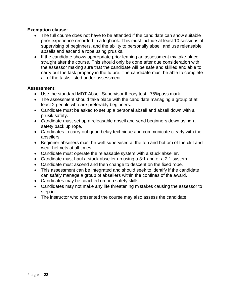### **Exemption clause:**

- The full course does not have to be attended if the candidate can show suitable prior experience recorded in a logbook. This must include at least 10 sessions of supervising of beginners, and the ability to personally abseil and use releasable abseils and ascend a rope using prusiks.
- If the candidate shows appropriate prior leaning an assessment my take place straight after the course. This should only be done after due consideration with the assessor making sure that the candidate will be safe and skilled and able to carry out the task properly in the future. The candidate must be able to complete all of the tasks listed under assessment.

### **Assessment:**

- Use the standard MDT Abseil Supervisor theory test.. 75%pass mark
- The assessment should take place with the candidate managing a group of at least 2 people who are preferably beginners.
- Candidate must be asked to set up a personal abseil and abseil down with a prusik safety.
- Candidate must set up a releasable abseil and send beginners down using a safety back up rope.
- Candidates to carry out good belay technique and communicate clearly with the abseilers.
- Beginner abseilers must be well supervised at the top and bottom of the cliff and wear helmets at all times.
- Candidate must operate the releasable system with a stuck abseiler.
- Candidate must haul a stuck abseiler up using a 3:1 and or a 2:1 system.
- Candidate must ascend and then change to descent on the fixed rope.
- This assessment can be integrated and should seek to identify if the candidate can safely manage a group of abseilers within the confines of the award.
- Candidates may be coached on non safety skills.
- Candidates may not make any life threatening mistakes causing the assessor to step in.
- The instructor who presented the course may also assess the candidate.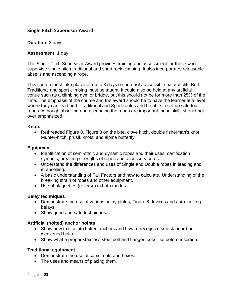# <span id="page-22-0"></span>**Single Pitch Supervisor Award**

### **Duration:** 3 days

### **Assessment:** 1 day

The Single Pitch Supervisor Award provides training and assessment for those who supervise single pitch traditional and sport rock climbing. It also incorporates releasable abseils and ascending a rope.

This course must take place for up to 3 days on an easily accessible natural cliff. Both Traditional and sport climbing must be taught. It could also be held at any artificial venue such as a climbing gym or bridge, but this should not be for more than 25% of the time. The emphasis of the course and the award should be to have the learner at a level where they can lead both Traditional and Sport routes and be able to set up safe topropes. Although abseiling and ascending the ropes are important these skills should not over emphasized.

#### **Knots**

 Rethreaded Figure 8, Figure 8 on the bite, clove hitch, double fisherman's knot, Munter-hitch, prusik knots, and alpine butterfly

### **Equipment**

- Identification of semi-static and dynamic ropes and their uses, certification symbols, breaking strengths of ropes and accessory cords.
- Understand the differences and uses of Single and Double ropes in leading and in abseiling.
- A basic understanding of Fall Factors and how to calculate. Understanding of the breaking strain of ropes and other equipment.
- Use of plaquettes (reverso) in both modes.

### **Belay techniques**

- Demonstrate the use of various belay plates, Figure 8 devices and auto-locking belays.
- Show good and safe techniques.

# **Artificial (bolted) anchor points**

- Show how to clip into bolted anchors and how to recognize sub standard or weakened bolts.
- Show what a proper stainless steel bolt and hanger looks like before insertion.

# **Traditional equipment**

- Demonstrate the use of cams, nuts and hexes.
- The uses and means of placing them.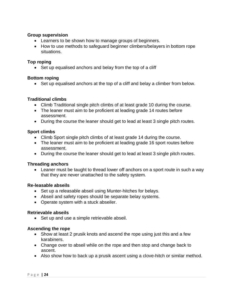### **Group supervision**

- Learners to be shown how to manage groups of beginners.
- How to use methods to safeguard beginner climbers/belayers in bottom rope situations.

### **Top roping**

• Set up equalised anchors and belay from the top of a cliff

### **Bottom roping**

• Set up equalised anchors at the top of a cliff and belay a climber from below.

### **Traditional climbs**

- Climb Traditional single pitch climbs of at least grade 10 during the course.
- The leaner must aim to be proficient at leading grade 14 routes before assessment.
- During the course the leaner should get to lead at least 3 single pitch routes.

### **Sport climbs**

- Climb Sport single pitch climbs of at least grade 14 during the course.
- The leaner must aim to be proficient at leading grade 16 sport routes before assessment.
- During the course the leaner should get to lead at least 3 single pitch routes.

### **Threading anchors**

 Leaner must be taught to thread lower off anchors on a sport route in such a way that they are never unattached to the safety system.

### **Re-leasable abseils**

- Set up a releasable abseil using Munter-hitches for belays.
- Abseil and safety ropes should be separate belay systems.
- Operate system with a stuck abseiler.

# **Retrievable abseils**

• Set up and use a simple retrievable abseil.

# **Ascending the rope**

- Show at least 2 prusik knots and ascend the rope using just this and a few karabiners.
- Change over to abseil while on the rope and then stop and change back to ascent.
- Also show how to back up a prusik ascent using a clove-hitch or similar method.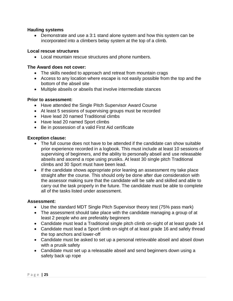### **Hauling systems**

 Demonstrate and use a 3:1 stand alone system and how this system can be incorporated into a climbers belay system at the top of a climb.

### **Local rescue structures**

Local mountain rescue structures and phone numbers.

### **The Award does not cover:**

- The skills needed to approach and retreat from mountain crags
- Access to any location where escape is not easily possible from the top and the bottom of the abseil site
- Multiple abseils or abseils that involve intermediate stances

### **Prior to assessment:**

- Have attended the Single Pitch Supervisor Award Course
- At least 5 sessions of supervising groups must be recorded
- Have lead 20 named Traditional climbs
- Have lead 20 named Sport climbs
- Be in possession of a valid First Aid certificate

### **Exception clause:**

- The full course does not have to be attended if the candidate can show suitable prior experience recorded in a logbook. This must include at least 10 sessions of supervising of beginners, and the ability to personally abseil and use releasable abseils and ascend a rope using prusiks. At least 30 single pitch Traditional climbs and 30 Sport must have been lead.
- If the candidate shows appropriate prior leaning an assessment my take place straight after the course. This should only be done after due consideration with the assessor making sure that the candidate will be safe and skilled and able to carry out the task properly in the future. The candidate must be able to complete all of the tasks listed under assessment.

### **Assessment:**

- Use the standard MDT Single Pitch Supervisor theory test (75% pass mark)
- The assessment should take place with the candidate managing a group of at least 2 people who are preferably beginners
- Candidate must lead a Traditional single pitch climb on-sight of at least grade 14
- Candidate must lead a Sport climb on-sight of at least grade 16 and safely thread the top anchors and lower-off
- Candidate must be asked to set up a personal retrievable abseil and abseil down with a prusik safety
- Candidate must set up a releasable abseil and send beginners down using a safety back up rope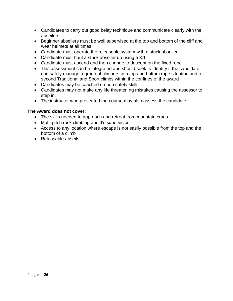- Candidates to carry out good belay technique and communicate clearly with the abseilers.
- Beginner abseilers must be well supervised at the top and bottom of the cliff and wear helmets at all times
- Candidate must operate the releasable system with a stuck abseiler
- Candidate must haul a stuck abseiler up using a 3:1
- Candidate must ascend and then change to descent on the fixed rope
- This assessment can be integrated and should seek to identify if the candidate can safely manage a group of climbers in a top and bottom rope situation and to second Traditional and Sport climbs within the confines of the award
- Candidates may be coached on non safety skills
- Candidates may not make any life threatening mistakes causing the assessor to step in.
- The instructor who presented the course may also assess the candidate

# **The Award does not cover:**

- The skills needed to approach and retreat from mountain crags
- Multi-pitch rock climbing and it's supervision
- Access to any location where escape is not easily possible from the top and the bottom of a climb
- Releasable abseils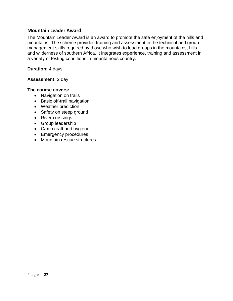### <span id="page-26-0"></span>**Mountain Leader Award**

The Mountain Leader Award is an award to promote the safe enjoyment of the hills and mountains. The scheme provides training and assessment in the technical and group management skills required by those who wish to lead groups in the mountains, hills and wilderness of southern Africa. It integrates experience, training and assessment in a variety of testing conditions in mountainous country.

#### **Duration:** 4 days

### **Assessment:** 2 day

#### **The course covers:**

- Navigation on trails
- Basic off-trail navigation
- Weather prediction
- Safety on steep ground
- River crossings
- Group leadership
- Camp craft and hygiene
- Emergency procedures
- Mountain rescue structures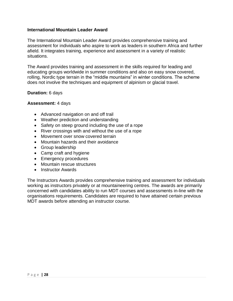### **International Mountain Leader Award**

The International Mountain Leader Award provides comprehensive training and assessment for individuals who aspire to work as leaders in southern Africa and further afield. It integrates training, experience and assessment in a variety of realistic situations.

The Award provides training and assessment in the skills required for leading and educating groups worldwide in summer conditions and also on easy snow covered, rolling, Nordic type terrain in the "middle mountains" in winter conditions. The scheme does not involve the techniques and equipment of alpinism or glacial travel.

#### **Duration:** 6 days

#### **Assessment:** 4 days

- Advanced navigation on and off trail
- Weather prediction and understanding
- Safety on steep ground including the use of a rope
- River crossings with and without the use of a rope
- Movement over snow covered terrain
- Mountain hazards and their avoidance
- Group leadership
- Camp craft and hygiene
- Emergency procedures
- Mountain rescue structures
- Instructor Awards

The Instructors Awards provides comprehensive training and assessment for individuals working as instructors privately or at mountaineering centres. The awards are primarily concerned with candidates ability to run MDT courses and assessments in-line with the organisations requirements. Candidates are required to have attained certain previous MDT awards before attending an instructor course.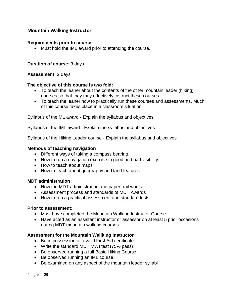# <span id="page-28-0"></span>**Mountain Walking Instructor**

#### **Requirements prior to course:**

Must hold the IML award prior to attending the course.

#### **Duration of course**: 3 days

#### **Assessment:** 2 days

#### **The objective of this course is two fold:**

- To teach the leaner about the contents of the other mountain leader (hiking) courses so that they may effectively instruct these courses
- To teach the leaner how to practically run these courses and assessments. Much of this course takes place in a classroom situation

Syllabus of the ML award - Explain the syllabus and objectives

Syllabus of the IML award - Explain the syllabus and objectives

Syllabus of the Hiking Leader course - Explain the syllabus and objectives

#### **Methods of teaching navigation**

- Different ways of taking a compass bearing.
- How to run a navigation exercise in good and bad visibility.
- How to teach about maps
- How to teach about geography and land features.

#### **MDT administration**

- How the MDT administration and paper trail works
- Assessment process and standards of MDT Awards
- How to run a practical assessment and standard tests

#### **Prior to assessment:**

- Must have completed the Mountain Walking Instructor Course
- Have acted as an assistant instructor or assessor on at least 5 prior occasions during MDT mountain walking courses

#### **Assessment for the Mountain Wallking Instructor**

- Be in possession of a valid First Aid certificate
- Write the standard MDT MWI test (75% pass)
- Be observed running a full Basic Hiking Course
- Be observed running an IML course
- Be examined on any aspect of the mountain leader syllabi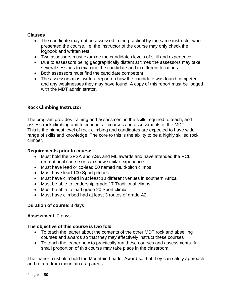# **Clauses**

- The candidate may not be assessed in the practical by the same instructor who presented the course, i.e. the instructor of the course may only check the logbook and written test.
- Two assessors must examine the candidates levels of skill and experience
- Due to assessors being geographically distant at times the assessors may take several sessions to examine the candidate and in different locations
- Both assessors must find the candidate competent
- The assessors must write a report on how the candidate was found competent and any weaknesses they may have found. A copy of this report must be lodged with the MDT administrator.

# <span id="page-29-0"></span>**Rock Climbing Instructor**

The program provides training and assessment in the skills required to teach, and assess rock climbing and to conduct all courses and assessments of the MDT. This is the highest level of rock climbing and candidates are expected to have wide range of skills and knowledge. The core to this is the ability to be a highly skilled rock climber.

### **Requirements prior to course:**

- Must hold the SPSA and ASA and ML awards and have attended the RCL recreational course or can show similar experience
- Must have lead or co-lead 50 named multi-pitch climbs
- Must have lead 100 Sport pitches
- Must have climbed in at least 10 different venues in southern Africa
- Must be able to leadership grade 17 Traditional climbs
- Must be able to lead grade 20 Sport climbs
- Must have climbed had at least 3 routes of grade A2

### **Duration of course**: 3 days

### **Assessment:** 2 days

### **The objective of this course is two fold**

- To teach the leaner about the contents of the other MDT rock and abseiling courses and awards so that they may effectively instruct these courses
- To teach the leaner how to practically run these courses and assessments. A small proportion of this course may take place in the classroom.

The leaner must also hold the Mountain Leader Award so that they can safely approach and retreat from mountain crag areas.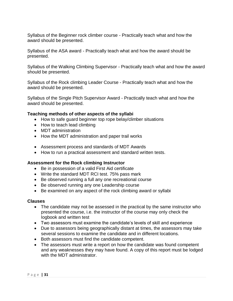Syllabus of the Beginner rock climber course - Practically teach what and how the award should be presented.

Syllabus of the ASA award - Practically teach what and how the award should be presented.

Syllabus of the Walking Climbing Supervisor - Practically teach what and how the award should be presented.

Syllabus of the Rock climbing Leader Course - Practically teach what and how the award should be presented.

Syllabus of the Single Pitch Supervisor Award - Practically teach what and how the award should be presented.

### **Teaching methods of other aspects of the syllabi**

- How to safe guard beginner top rope belay/climber situations
- How to teach lead climbing
- MDT administration
- How the MDT administration and paper trail works
- Assessment process and standards of MDT Awards
- How to run a practical assessment and standard written tests.

### **Assessment for the Rock climbing Instructor**

- Be in possession of a valid First Aid certificate
- Write the standard MDT RCI test. 75% pass mark
- Be observed running a full any one recreational course
- Be observed running any one Leadership course
- Be examined on any aspect of the rock climbing award or syllabi

### **Clauses**

- The candidate may not be assessed in the practical by the same instructor who presented the course, i.e. the instructor of the course may only check the logbook and written test
- Two assessors must examine the candidate's levels of skill and experience
- Due to assessors being geographically distant at times, the assessors may take several sessions to examine the candidate and in different locations.
- Both assessors must find the candidate competent.
- The assessors must write a report on how the candidate was found competent and any weaknesses they may have found. A copy of this report must be lodged with the MDT administrator.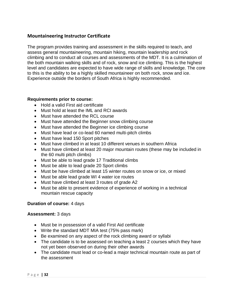# <span id="page-31-0"></span>**Mountaineering Instructor Certificate**

The program provides training and assessment in the skills required to teach, and assess general mountaineering, mountain hiking, mountain leadership and rock climbing and to conduct all courses and assessments of the MDT. It is a culmination of the both mountain walking skills and of rock, snow and ice climbing. This is the highest level and candidates are expected to have wide range of skills and knowledge. The core to this is the ability to be a highly skilled mountaineer on both rock, snow and ice. Experience outside the borders of South Africa is highly recommended.

### **Requirements prior to course:**

- Hold a valid First aid certificate
- Must hold at least the IML and RCI awards
- Must have attended the RCL course
- Must have attended the Beginner snow climbing course
- Must have attended the Beginner ice climbing course
- Must have lead or co-lead 60 named multi-pitch climbs
- Must have lead 150 Sport pitches
- Must have climbed in at least 10 different venues in southern Africa
- Must have climbed at least 20 major mountain routes (these may be included in the 60 multi pitch climbs)
- Must be able to lead grade 17 Traditional climbs
- Must be able to lead grade 20 Sport climbs
- Must be have climbed at least 15 winter routes on snow or ice, or mixed
- Must be able lead grade WI 4 water ice routes
- Must have climbed at least 3 routes of grade A2
- Must be able to present evidence of experience of working in a technical mountain rescue capacity

### **Duration of course:** 4 days

### **Assessment:** 3 days

- Must be in possession of a valid First Aid certificate
- Write the standard MDT MIA test (75% pass mark)
- Be examined on any aspect of the rock climbing award or syllabi
- The candidate is to be assessed on teaching a least 2 courses which they have not yet been observed on during their other awards
- The candidate must lead or co-lead a major technical mountain route as part of the assessment